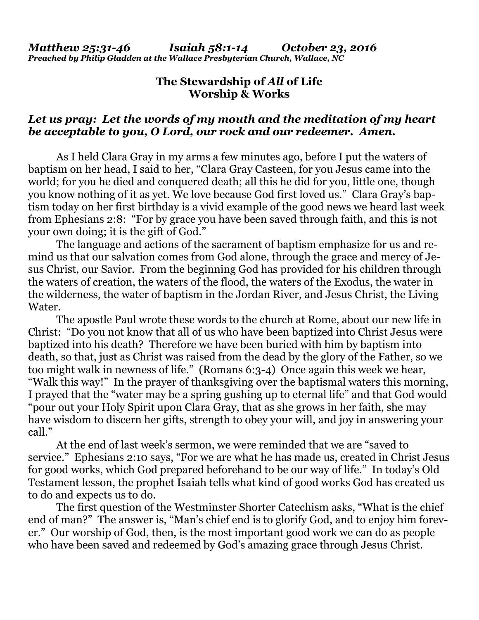## **The Stewardship of** *All* **of Life Worship & Works**

## *Let us pray: Let the words of my mouth and the meditation of my heart be acceptable to you, O Lord, our rock and our redeemer. Amen.*

As I held Clara Gray in my arms a few minutes ago, before I put the waters of baptism on her head, I said to her, "Clara Gray Casteen, for you Jesus came into the world; for you he died and conquered death; all this he did for you, little one, though you know nothing of it as yet. We love because God first loved us." Clara Gray's baptism today on her first birthday is a vivid example of the good news we heard last week from Ephesians 2:8: "For by grace you have been saved through faith, and this is not your own doing; it is the gift of God."

 The language and actions of the sacrament of baptism emphasize for us and remind us that our salvation comes from God alone, through the grace and mercy of Jesus Christ, our Savior. From the beginning God has provided for his children through the waters of creation, the waters of the flood, the waters of the Exodus, the water in the wilderness, the water of baptism in the Jordan River, and Jesus Christ, the Living Water.

 The apostle Paul wrote these words to the church at Rome, about our new life in Christ: "Do you not know that all of us who have been baptized into Christ Jesus were baptized into his death? Therefore we have been buried with him by baptism into death, so that, just as Christ was raised from the dead by the glory of the Father, so we too might walk in newness of life." (Romans 6:3-4) Once again this week we hear, "Walk this way!" In the prayer of thanksgiving over the baptismal waters this morning, I prayed that the "water may be a spring gushing up to eternal life" and that God would "pour out your Holy Spirit upon Clara Gray, that as she grows in her faith, she may have wisdom to discern her gifts, strength to obey your will, and joy in answering your call."

 At the end of last week's sermon, we were reminded that we are "saved to service." Ephesians 2:10 says, "For we are what he has made us, created in Christ Jesus for good works, which God prepared beforehand to be our way of life." In today's Old Testament lesson, the prophet Isaiah tells what kind of good works God has created us to do and expects us to do.

 The first question of the Westminster Shorter Catechism asks, "What is the chief end of man?" The answer is, "Man's chief end is to glorify God, and to enjoy him forever." Our worship of God, then, is the most important good work we can do as people who have been saved and redeemed by God's amazing grace through Jesus Christ.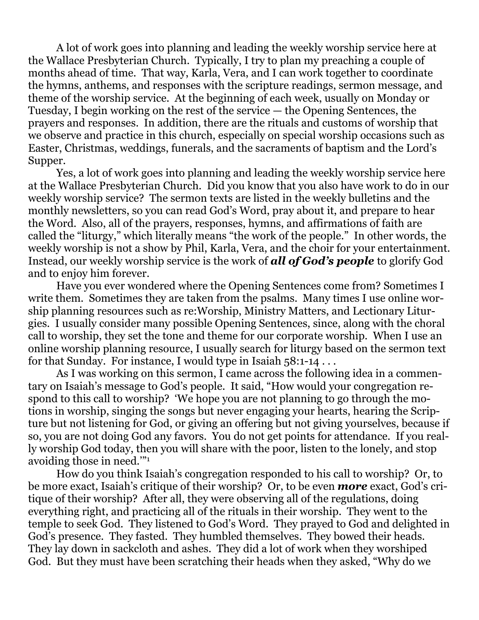A lot of work goes into planning and leading the weekly worship service here at the Wallace Presbyterian Church. Typically, I try to plan my preaching a couple of months ahead of time. That way, Karla, Vera, and I can work together to coordinate the hymns, anthems, and responses with the scripture readings, sermon message, and theme of the worship service. At the beginning of each week, usually on Monday or Tuesday, I begin working on the rest of the service — the Opening Sentences, the prayers and responses. In addition, there are the rituals and customs of worship that we observe and practice in this church, especially on special worship occasions such as Easter, Christmas, weddings, funerals, and the sacraments of baptism and the Lord's Supper.

 Yes, a lot of work goes into planning and leading the weekly worship service here at the Wallace Presbyterian Church. Did you know that you also have work to do in our weekly worship service? The sermon texts are listed in the weekly bulletins and the monthly newsletters, so you can read God's Word, pray about it, and prepare to hear the Word. Also, all of the prayers, responses, hymns, and affirmations of faith are called the "liturgy," which literally means "the work of the people." In other words, the weekly worship is not a show by Phil, Karla, Vera, and the choir for your entertainment. Instead, our weekly worship service is the work of *all of God's people* to glorify God and to enjoy him forever.

 Have you ever wondered where the Opening Sentences come from? Sometimes I write them. Sometimes they are taken from the psalms. Many times I use online worship planning resources such as re:Worship, Ministry Matters, and Lectionary Liturgies. I usually consider many possible Opening Sentences, since, along with the choral call to worship, they set the tone and theme for our corporate worship. When I use an online worship planning resource, I usually search for liturgy based on the sermon text for that Sunday. For instance, I would type in Isaiah 58:1-14 . . .

 As I was working on this sermon, I came across the following idea in a commentary on Isaiah's message to God's people. It said, "How would your congregation respond to this call to worship? 'We hope you are not planning to go through the motions in worship, singing the songs but never engaging your hearts, hearing the Scripture but not listening for God, or giving an offering but not giving yourselves, because if so, you are not doing God any favors. You do not get points for attendance. If you really worship God today, then you will share with the poor, listen to the lonely, and stop avoiding those in need.'"1

 How do you think Isaiah's congregation responded to his call to worship? Or, to be more exact, Isaiah's critique of their worship? Or, to be even *more* exact, God's critique of their worship? After all, they were observing all of the regulations, doing everything right, and practicing all of the rituals in their worship. They went to the temple to seek God. They listened to God's Word. They prayed to God and delighted in God's presence. They fasted. They humbled themselves. They bowed their heads. They lay down in sackcloth and ashes. They did a lot of work when they worshiped God. But they must have been scratching their heads when they asked, "Why do we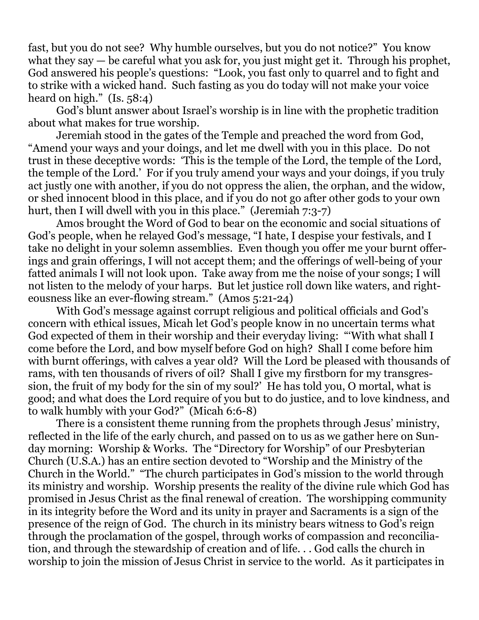fast, but you do not see? Why humble ourselves, but you do not notice?" You know what they say — be careful what you ask for, you just might get it. Through his prophet, God answered his people's questions: "Look, you fast only to quarrel and to fight and to strike with a wicked hand. Such fasting as you do today will not make your voice heard on high." (Is. 58:4)

 God's blunt answer about Israel's worship is in line with the prophetic tradition about what makes for true worship.

 Jeremiah stood in the gates of the Temple and preached the word from God, "Amend your ways and your doings, and let me dwell with you in this place. Do not trust in these deceptive words: 'This is the temple of the Lord, the temple of the Lord, the temple of the Lord.' For if you truly amend your ways and your doings, if you truly act justly one with another, if you do not oppress the alien, the orphan, and the widow, or shed innocent blood in this place, and if you do not go after other gods to your own hurt, then I will dwell with you in this place." (Jeremiah 7:3-7)

 Amos brought the Word of God to bear on the economic and social situations of God's people, when he relayed God's message, "I hate, I despise your festivals, and I take no delight in your solemn assemblies. Even though you offer me your burnt offerings and grain offerings, I will not accept them; and the offerings of well-being of your fatted animals I will not look upon. Take away from me the noise of your songs; I will not listen to the melody of your harps. But let justice roll down like waters, and righteousness like an ever-flowing stream." (Amos 5:21-24)

 With God's message against corrupt religious and political officials and God's concern with ethical issues, Micah let God's people know in no uncertain terms what God expected of them in their worship and their everyday living: "'With what shall I come before the Lord, and bow myself before God on high? Shall I come before him with burnt offerings, with calves a year old? Will the Lord be pleased with thousands of rams, with ten thousands of rivers of oil? Shall I give my firstborn for my transgression, the fruit of my body for the sin of my soul?' He has told you, O mortal, what is good; and what does the Lord require of you but to do justice, and to love kindness, and to walk humbly with your God?" (Micah 6:6-8)

 There is a consistent theme running from the prophets through Jesus' ministry, reflected in the life of the early church, and passed on to us as we gather here on Sunday morning: Worship & Works. The "Directory for Worship" of our Presbyterian Church (U.S.A.) has an entire section devoted to "Worship and the Ministry of the Church in the World." "The church participates in God's mission to the world through its ministry and worship. Worship presents the reality of the divine rule which God has promised in Jesus Christ as the final renewal of creation. The worshipping community in its integrity before the Word and its unity in prayer and Sacraments is a sign of the presence of the reign of God. The church in its ministry bears witness to God's reign through the proclamation of the gospel, through works of compassion and reconciliation, and through the stewardship of creation and of life. . . God calls the church in worship to join the mission of Jesus Christ in service to the world. As it participates in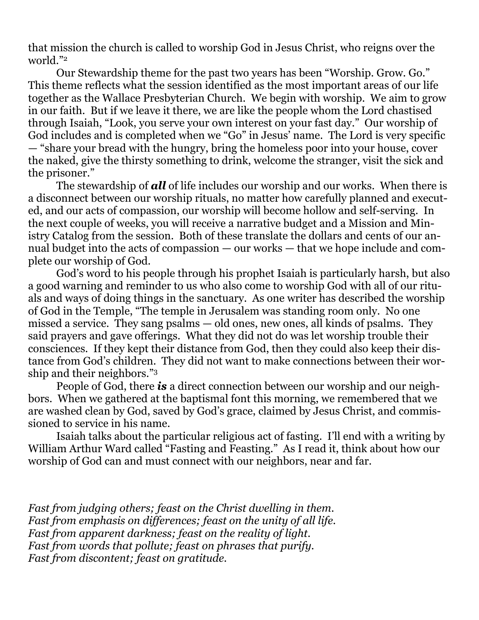that mission the church is called to worship God in Jesus Christ, who reigns over the world."2

 Our Stewardship theme for the past two years has been "Worship. Grow. Go." This theme reflects what the session identified as the most important areas of our life together as the Wallace Presbyterian Church. We begin with worship. We aim to grow in our faith. But if we leave it there, we are like the people whom the Lord chastised through Isaiah, "Look, you serve your own interest on your fast day." Our worship of God includes and is completed when we "Go" in Jesus' name. The Lord is very specific — "share your bread with the hungry, bring the homeless poor into your house, cover the naked, give the thirsty something to drink, welcome the stranger, visit the sick and the prisoner."

 The stewardship of *all* of life includes our worship and our works. When there is a disconnect between our worship rituals, no matter how carefully planned and executed, and our acts of compassion, our worship will become hollow and self-serving. In the next couple of weeks, you will receive a narrative budget and a Mission and Ministry Catalog from the session. Both of these translate the dollars and cents of our annual budget into the acts of compassion — our works — that we hope include and complete our worship of God.

 God's word to his people through his prophet Isaiah is particularly harsh, but also a good warning and reminder to us who also come to worship God with all of our rituals and ways of doing things in the sanctuary. As one writer has described the worship of God in the Temple, "The temple in Jerusalem was standing room only. No one missed a service. They sang psalms — old ones, new ones, all kinds of psalms. They said prayers and gave offerings. What they did not do was let worship trouble their consciences. If they kept their distance from God, then they could also keep their distance from God's children. They did not want to make connections between their worship and their neighbors."3

 People of God, there *is* a direct connection between our worship and our neighbors. When we gathered at the baptismal font this morning, we remembered that we are washed clean by God, saved by God's grace, claimed by Jesus Christ, and commissioned to service in his name.

 Isaiah talks about the particular religious act of fasting. I'll end with a writing by William Arthur Ward called "Fasting and Feasting." As I read it, think about how our worship of God can and must connect with our neighbors, near and far.

*Fast from judging others; feast on the Christ dwelling in them. Fast from emphasis on differences; feast on the unity of all life. Fast from apparent darkness; feast on the reality of light. Fast from words that pollute; feast on phrases that purify. Fast from discontent; feast on gratitude.*